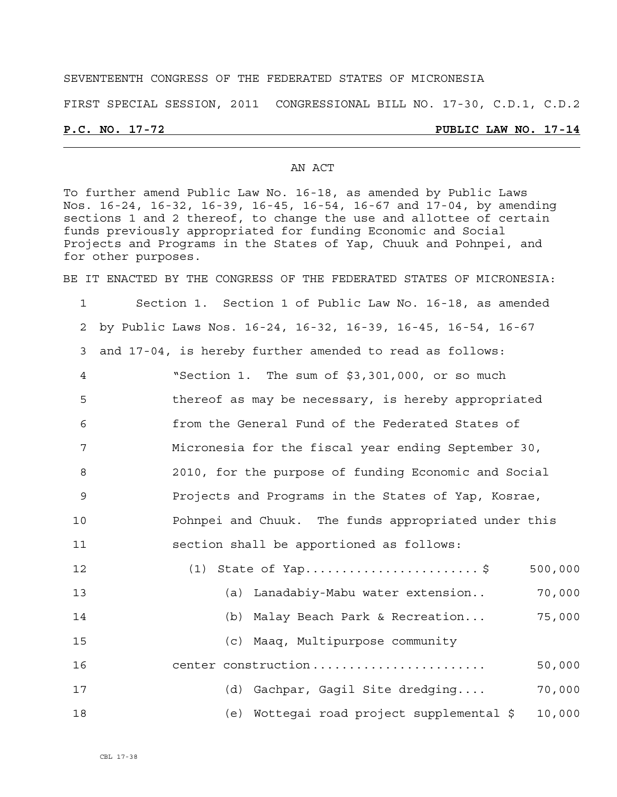#### SEVENTEENTH CONGRESS OF THE FEDERATED STATES OF MICRONESIA

FIRST SPECIAL SESSION, 2011 CONGRESSIONAL BILL NO. 17-30, C.D.1, C.D.2

#### **P.C. NO. 17-72 PUBLIC LAW NO. 17-14**

#### AN ACT

To further amend Public Law No. 16-18, as amended by Public Laws Nos. 16-24, 16-32, 16-39, 16-45, 16-54, 16-67 and 17-04, by amending sections 1 and 2 thereof, to change the use and allottee of certain funds previously appropriated for funding Economic and Social Projects and Programs in the States of Yap, Chuuk and Pohnpei, and for other purposes.

BE IT ENACTED BY THE CONGRESS OF THE FEDERATED STATES OF MICRONESIA:

1 Section 1. Section 1 of Public Law No. 16-18, as amended 2 by Public Laws Nos. 16-24, 16-32, 16-39, 16-45, 16-54, 16-67 3 and 17-04, is hereby further amended to read as follows: 4 "Section 1. The sum of \$3,301,000, or so much 5 thereof as may be necessary, is hereby appropriated 6 from the General Fund of the Federated States of 7 Micronesia for the fiscal year ending September 30, 8 2010, for the purpose of funding Economic and Social 9 Projects and Programs in the States of Yap, Kosrae, 10 Pohnpei and Chuuk. The funds appropriated under this 11 section shall be apportioned as follows: 12 (1) State of Yap............................\$ 500,000 13 (a) Lanadabiy-Mabu water extension.. 70,000 14 (b) Malay Beach Park & Recreation... 75,000 15 (c) Maaq, Multipurpose community 16 center construction ........................ 50,000 17 (d) Gachpar, Gagil Site dredging.... 70,000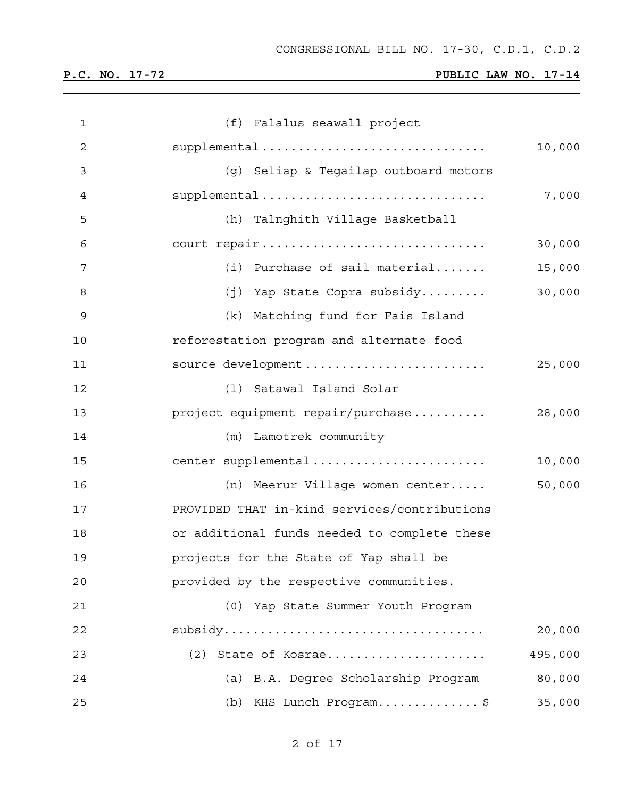| $\mathbf{1}$ | (f) Falalus seawall project                  |         |
|--------------|----------------------------------------------|---------|
| 2            | supplemental                                 | 10,000  |
| 3            | (g) Seliap & Tegailap outboard motors        |         |
| 4            | supplemental                                 | 7,000   |
| 5            | (h) Talnghith Village Basketball             |         |
| 6            | court repair                                 | 30,000  |
| 7            | (i) Purchase of sail material                | 15,000  |
| 8            | (j) Yap State Copra subsidy                  | 30,000  |
| 9            | (k) Matching fund for Fais Island            |         |
| 10           | reforestation program and alternate food     |         |
| 11           | source development                           | 25,000  |
| 12           | (1) Satawal Island Solar                     |         |
| 13           | project equipment repair/purchase            | 28,000  |
| 14           | (m) Lamotrek community                       |         |
| 15           | center supplemental                          | 10,000  |
| 16           | (n) Meerur Village women center              | 50,000  |
| 17           | PROVIDED THAT in-kind services/contributions |         |
| 18           | or additional funds needed to complete these |         |
| 19           | projects for the State of Yap shall be       |         |
| 20           | provided by the respective communities.      |         |
| 21           | (0) Yap State Summer Youth Program           |         |
| 22           |                                              | 20,000  |
| 23           | State of Kosrae<br>(2)                       | 495,000 |
| 24           | (a) B.A. Degree Scholarship Program          | 80,000  |
| 25           | (b) KHS Lunch Program\$                      | 35,000  |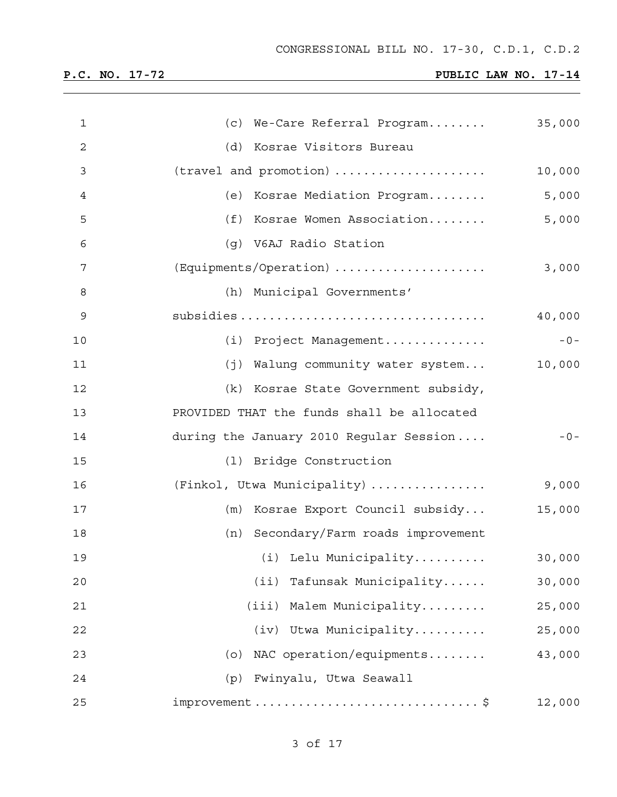| P.C. |  | NO. 17-72 |  |  |  |  |
|------|--|-----------|--|--|--|--|
|------|--|-----------|--|--|--|--|

## **PUBLIC LAW NO. 17-14**

| 1  | (c) We-Care Referral Program                                            | 35,000 |
|----|-------------------------------------------------------------------------|--------|
| 2  | (d) Kosrae Visitors Bureau                                              |        |
| 3  | (travel and promotion)                                                  | 10,000 |
| 4  | (e) Kosrae Mediation Program                                            | 5,000  |
| 5  | (f) Kosrae Women Association                                            | 5,000  |
| 6  | (g) V6AJ Radio Station                                                  |        |
| 7  | (Equipments/Operation)                                                  | 3,000  |
| 8  | (h) Municipal Governments'                                              |        |
| 9  |                                                                         | 40,000 |
| 10 | (i) Project Management                                                  | $-0-$  |
| 11 | (j) Walung community water system                                       | 10,000 |
| 12 | (k) Kosrae State Government subsidy,                                    |        |
| 13 | PROVIDED THAT the funds shall be allocated                              |        |
| 14 | during the January 2010 Regular Session                                 | $-0-$  |
| 15 | (1) Bridge Construction                                                 |        |
| 16 | (Finkol, Utwa Municipality)                                             | 9,000  |
| 17 | (m) Kosrae Export Council subsidy                                       | 15,000 |
| 18 | (n) Secondary/Farm roads improvement                                    |        |
| 19 | (i) Lelu Municipality                                                   | 30,000 |
| 20 | Tafunsak Municipality<br>(iii)                                          | 30,000 |
| 21 | (iii) Malem Municipality                                                | 25,000 |
| 22 | (iv) Utwa Municipality                                                  | 25,000 |
| 23 | NAC operation/equipments<br>(0)                                         | 43,000 |
| 24 | Fwinyalu, Utwa Seawall<br>(p)                                           |        |
| 25 | $improvement \ldots \ldots \ldots \ldots \ldots \ldots \ldots \ldots \$ | 12,000 |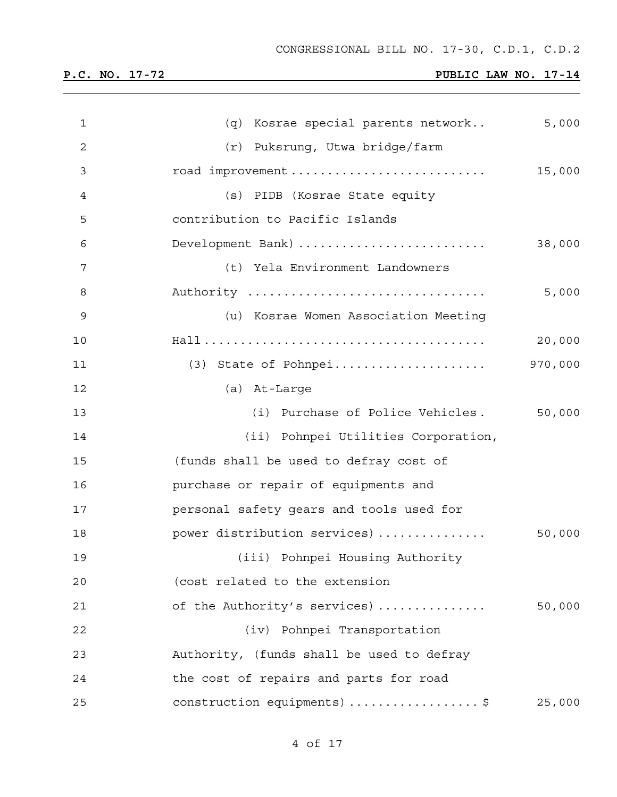| $\mathbf 1$    | (q) Kosrae special parents network        | 5,000   |
|----------------|-------------------------------------------|---------|
| $\overline{2}$ | (r) Puksrung, Utwa bridge/farm            |         |
| 3              | road improvement                          | 15,000  |
| 4              | (s) PIDB (Kosrae State equity             |         |
| 5              | contribution to Pacific Islands           |         |
| 6              | Development Bank)                         | 38,000  |
| 7              | (t) Yela Environment Landowners           |         |
| 8              | Authority                                 | 5,000   |
| 9              | (u) Kosrae Women Association Meeting      |         |
| 10             |                                           | 20,000  |
| 11             |                                           | 970,000 |
| 12             | (a) At-Large                              |         |
| 13             | (i) Purchase of Police Vehicles.          | 50,000  |
| 14             | (ii) Pohnpei Utilities Corporation,       |         |
| 15             | (funds shall be used to defray cost of    |         |
| 16             | purchase or repair of equipments and      |         |
| 17             | personal safety gears and tools used for  |         |
| 18             | power distribution services)              | 50,000  |
| 19             | (iii) Pohnpei Housing Authority           |         |
| 20             | (cost related to the extension            |         |
| 21             | of the Authority's services)              | 50,000  |
| 22             | (iv) Pohnpei Transportation               |         |
| 23             | Authority, (funds shall be used to defray |         |
| 24             | the cost of repairs and parts for road    |         |
| 25             | construction equipments) \$               | 25,000  |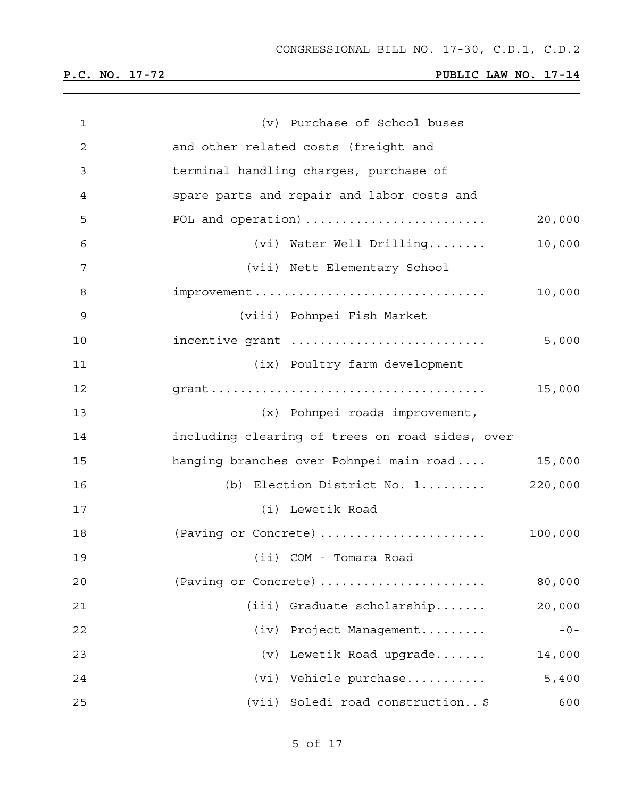| $\mathbf 1$  | (v) Purchase of School buses                    |         |
|--------------|-------------------------------------------------|---------|
| $\mathbf{2}$ | and other related costs (freight and            |         |
| 3            | terminal handling charges, purchase of          |         |
| 4            | spare parts and repair and labor costs and      |         |
| 5            | POL and operation)                              | 20,000  |
| 6            | (vi) Water Well Drilling                        | 10,000  |
| 7            | (vii) Nett Elementary School                    |         |
| 8            |                                                 | 10,000  |
| 9            | (viii) Pohnpei Fish Market                      |         |
| 10           | incentive grant                                 | 5,000   |
| 11           | (ix) Poultry farm development                   |         |
| 12           |                                                 | 15,000  |
| 13           | (x) Pohnpei roads improvement,                  |         |
| 14           | including clearing of trees on road sides, over |         |
| 15           | hanging branches over Pohnpei main road         | 15,000  |
| 16           | (b) Election District No. 1                     | 220,000 |
| 17           | (i) Lewetik Road                                |         |
| 18           | (Paving or Concrete)                            | 100,000 |
| 19           | (ii) COM - Tomara Road                          |         |
| 20           | (Paving or Concrete)                            | 80,000  |
| 21           | (iii)<br>Graduate scholarship                   | 20,000  |
| 22           | Project Management<br>(iv)                      | $-0-$   |
| 23           | Lewetik Road upgrade<br>(v)                     | 14,000  |
| 24           | Vehicle purchase<br>(vi)                        | 5,400   |
| 25           | Soledi road construction\$<br>(vii)             | 600     |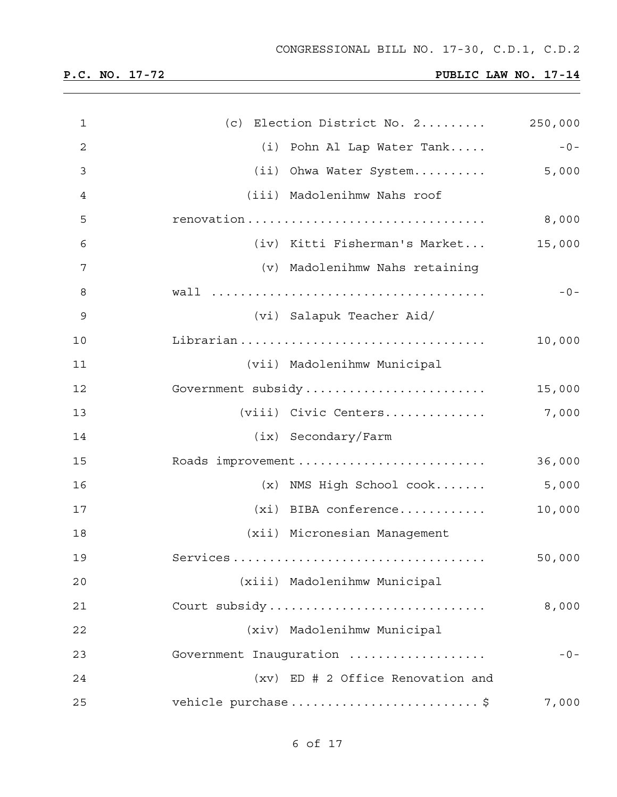| $\mathbf{1}$ | (c) Election District No. 2                      | 250,000 |
|--------------|--------------------------------------------------|---------|
| $\sqrt{2}$   | (i) Pohn Al Lap Water Tank                       | $-0-$   |
| 3            | (ii) Ohwa Water System                           | 5,000   |
| 4            | (iii) Madolenihmw Nahs roof                      |         |
| 5            |                                                  | 8,000   |
| 6            | (iv) Kitti Fisherman's Market                    | 15,000  |
| 7            | (v) Madolenihmw Nahs retaining                   |         |
| 8            |                                                  | $-0-$   |
| 9            | (vi) Salapuk Teacher Aid/                        |         |
| 10           |                                                  | 10,000  |
| 11           | (vii) Madolenihmw Municipal                      |         |
| 12           | Government subsidy                               | 15,000  |
| 13           | (viii) Civic Centers                             | 7,000   |
| 14           | $(ix)$ Secondary/Farm                            |         |
| 15           | Roads improvement                                | 36,000  |
| 16           | $(x)$ NMS High School ${\rm cosk} \ldots \ldots$ | 5,000   |
| 17           | $(xi)$ BIBA conference                           | 10,000  |
| 18           | (xii) Micronesian Management                     |         |
| 19           |                                                  | 50,000  |
| 20           | (xiii) Madolenihmw Municipal                     |         |
| 21           | Court subsidy                                    | 8,000   |
| 22           | (xiv) Madolenihmw Municipal                      |         |
| 23           | Government Inauguration                          | $-0-$   |
| 24           | (xv) ED # 2 Office Renovation and                |         |
| 25           | vehicle purchase  \$                             | 7,000   |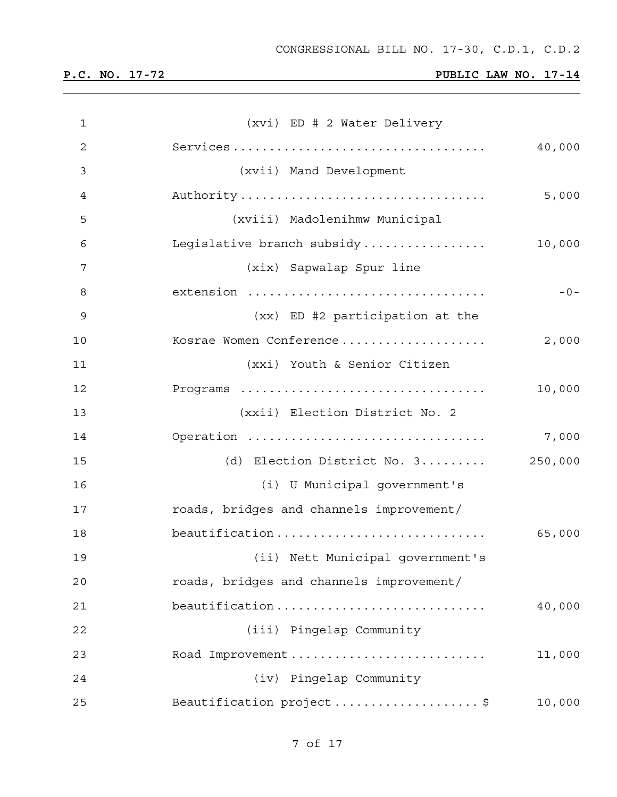# **P.C. NO. 17-72 PUBLIC LAW NO. 17-14**

| $\mathbf 1$    | (xvi) ED # 2 Water Delivery              |  |
|----------------|------------------------------------------|--|
| $\overline{2}$ | 40,000                                   |  |
| 3              | (xvii) Mand Development                  |  |
| 4              | Authority<br>5,000                       |  |
| 5              | (xviii) Madolenihmw Municipal            |  |
| 6              | Legislative branch subsidy<br>10,000     |  |
| 7              | (xix) Sapwalap Spur line                 |  |
| 8              | extension<br>$-0-$                       |  |
| 9              | (xx) ED #2 participation at the          |  |
| 10             | Kosrae Women Conference<br>2,000         |  |
| 11             | (xxi) Youth & Senior Citizen             |  |
| 12             | Programs<br>10,000                       |  |
| 13             | (xxii) Election District No. 2           |  |
| 14             | Operation<br>7,000                       |  |
| 15             | (d) Election District No. 3<br>250,000   |  |
| 16             | (i) U Municipal government's             |  |
| 17             | roads, bridges and channels improvement/ |  |
| 18             | beautification<br>65,000                 |  |
| 19             | (ii) Nett Municipal government's         |  |
| 20             | roads, bridges and channels improvement/ |  |
| 21             | beautification<br>40,000                 |  |
| 22             | (iii) Pingelap Community                 |  |
| 23             | Road Improvement<br>11,000               |  |
| 24             | (iv) Pingelap Community                  |  |
| 25             | Beautification project\$<br>10,000       |  |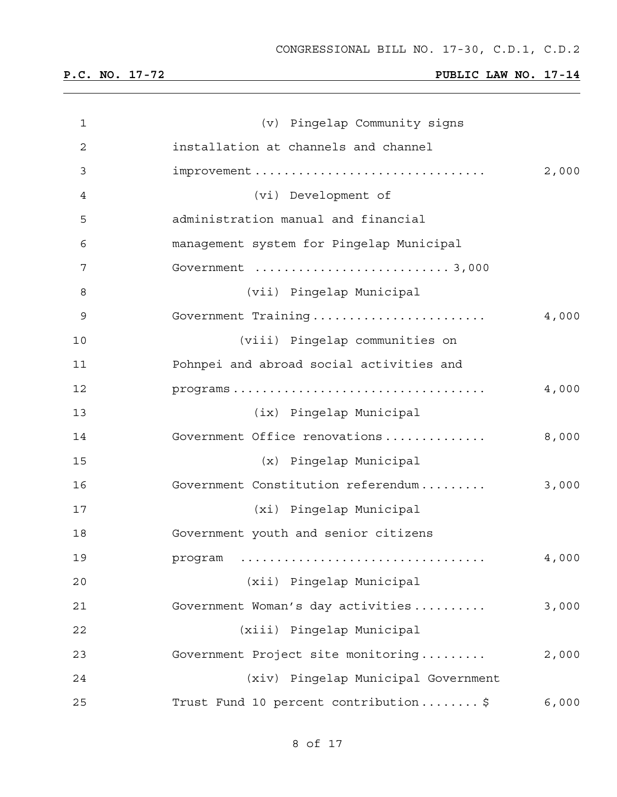| 1              | (v) Pingelap Community signs                  |  |
|----------------|-----------------------------------------------|--|
| $\mathbf 2$    | installation at channels and channel          |  |
| 3              | improvement<br>2,000                          |  |
| $\overline{4}$ | (vi) Development of                           |  |
| 5              | administration manual and financial           |  |
| 6              | management system for Pingelap Municipal      |  |
| 7              |                                               |  |
| 8              | (vii) Pingelap Municipal                      |  |
| $\mathsf 9$    | Government Training<br>4,000                  |  |
| 10             | (viii) Pingelap communities on                |  |
| 11             | Pohnpei and abroad social activities and      |  |
| 12             | 4,000<br>programs                             |  |
| 13             | (ix) Pingelap Municipal                       |  |
| 14             | Government Office renovations<br>8,000        |  |
| 15             | (x) Pingelap Municipal                        |  |
| 16             | Government Constitution referendum<br>3,000   |  |
| 17             | (xi) Pingelap Municipal                       |  |
| 18             | Government youth and senior citizens          |  |
| 19             | 4,000                                         |  |
| 20             | (xii) Pingelap Municipal                      |  |
| 21             | Government Woman's day activities<br>3,000    |  |
| 22             | (xiii) Pingelap Municipal                     |  |
| 23             | Government Project site monitoring<br>2,000   |  |
| 24             | (xiv) Pingelap Municipal Government           |  |
| 25             | Trust Fund 10 percent contribution\$<br>6,000 |  |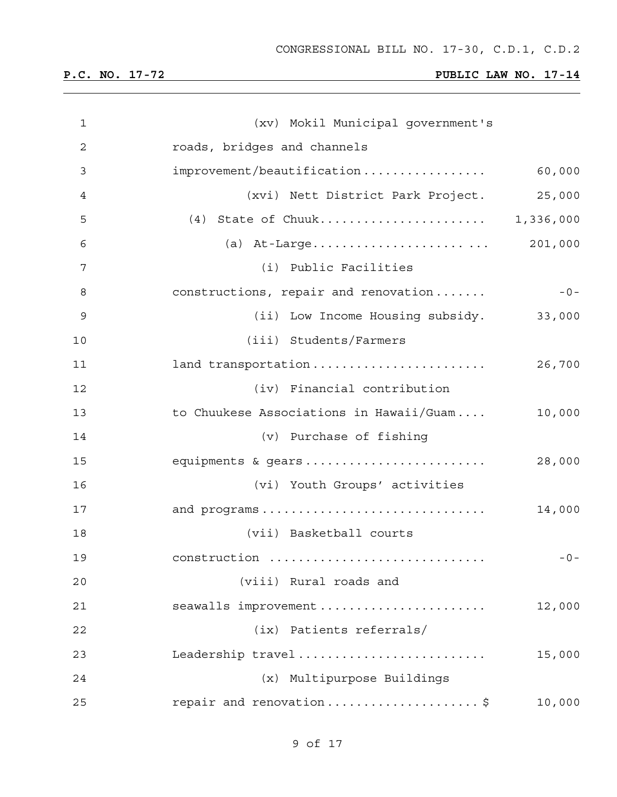| $\mathbf{1}$   | (xv) Mokil Municipal government's       |         |
|----------------|-----------------------------------------|---------|
| $\overline{2}$ | roads, bridges and channels             |         |
| 3              | improvement/beautification              | 60,000  |
| 4              | (xvi) Nett District Park Project.       | 25,000  |
| 5              | (4) State of Chuuk 1,336,000            |         |
| 6              |                                         | 201,000 |
| 7              | (i) Public Facilities                   |         |
| 8              | constructions, repair and renovation    | $-0-$   |
| 9              | (ii) Low Income Housing subsidy.        | 33,000  |
| 10             | (iii) Students/Farmers                  |         |
| 11             | land transportation                     | 26,700  |
| 12             | (iv) Financial contribution             |         |
| 13             | to Chuukese Associations in Hawaii/Guam | 10,000  |
| 14             | (v) Purchase of fishing                 |         |
| 15             | equipments & gears                      | 28,000  |
| 16             | (vi) Youth Groups' activities           |         |
| 17             | and programs                            | 14,000  |
| 18             | (vii) Basketball courts                 |         |
| 19             | construction                            | $-0-$   |
| 20             | (viii) Rural roads and                  |         |
| 21             | seawalls improvement                    | 12,000  |
| 22             | (ix) Patients referrals/                |         |
| 23             | Leadership travel                       | 15,000  |
| 24             | (x) Multipurpose Buildings              |         |
| 25             | repair and renovation\$                 | 10,000  |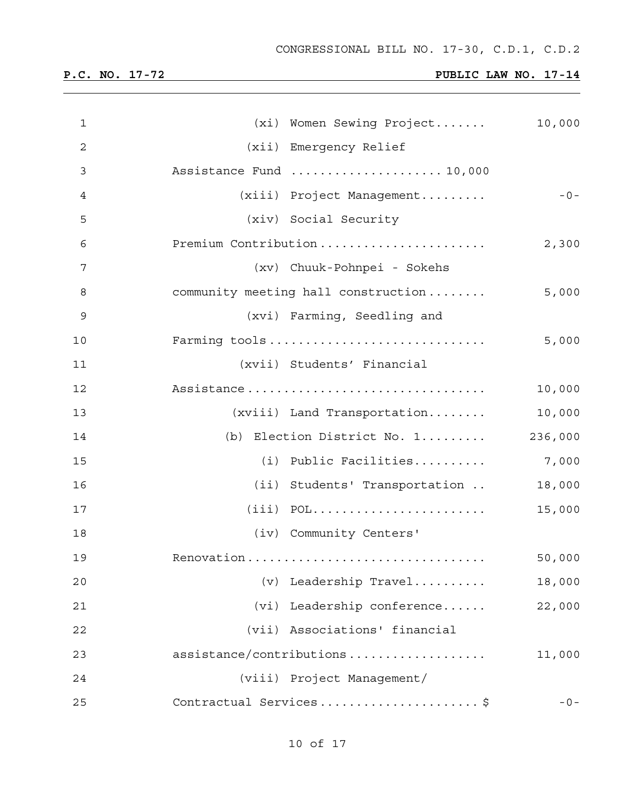| $\mathbf{1}$ | (xi) Women Sewing Project           | 10,000  |
|--------------|-------------------------------------|---------|
| 2            | (xii) Emergency Relief              |         |
| 3            | Assistance Fund  10,000             |         |
| 4            | (xiii) Project Management           | $-0-$   |
| 5            | (xiv) Social Security               |         |
| 6            | Premium Contribution                | 2,300   |
| 7            | (xv) Chuuk-Pohnpei - Sokehs         |         |
| 8            | community meeting hall construction | 5,000   |
| 9            | (xvi) Farming, Seedling and         |         |
| 10           | Farming tools                       | 5,000   |
| 11           | (xvii) Students' Financial          |         |
| 12           | Assistance                          | 10,000  |
| 13           | $(xviii)$ Land Transportation       | 10,000  |
| 14           | (b) Election District No. 1         | 236,000 |
| 15           | (i) Public Facilities               | 7,000   |
| 16           | (ii) Students' Transportation       | 18,000  |
| 17           |                                     | 15,000  |
| 18           | (iv) Community Centers'             |         |
| 19           | Renovation                          | 50,000  |
| 20           | (v) Leadership Travel               | 18,000  |
| 21           | (vi) Leadership conference          | 22,000  |
| 22           | (vii) Associations' financial       |         |
| 23           | assistance/contributions            | 11,000  |
| 24           | (viii) Project Management/          |         |
| 25           | Contractual Services\$              | $-0-$   |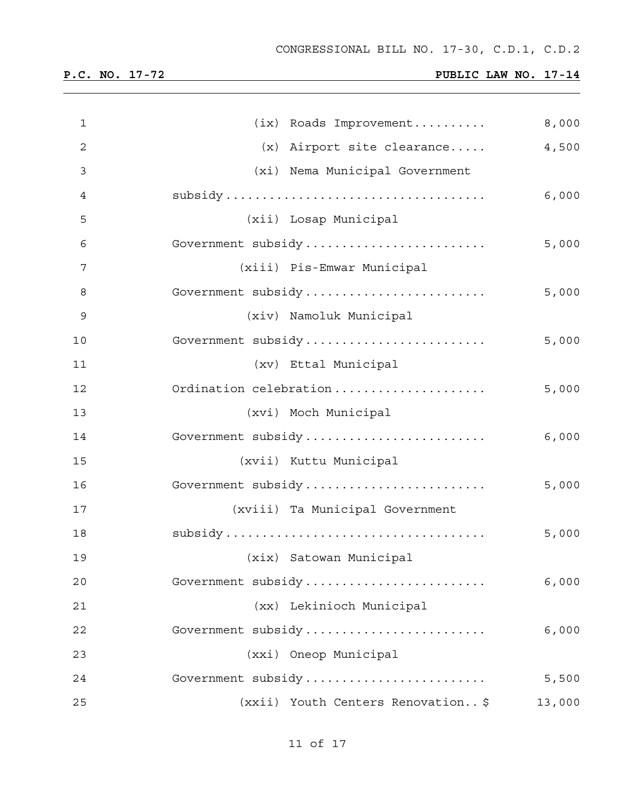and the control of the control of the control of the control of the control of the control of the control of the

| $\mathbf 1$  | (ix) Roads Improvement             | 8,000  |
|--------------|------------------------------------|--------|
| $\mathbf{2}$ | $(x)$ Airport site clearance       | 4,500  |
| 3            | (xi) Nema Municipal Government     |        |
| 4            |                                    | 6,000  |
| 5            | (xii) Losap Municipal              |        |
| 6            | Government subsidy                 | 5,000  |
| 7            | (xiii) Pis-Emwar Municipal         |        |
| 8            | Government subsidy                 | 5,000  |
| 9            | (xiv) Namoluk Municipal            |        |
| 10           | Government subsidy                 | 5,000  |
| 11           | (xv) Ettal Municipal               |        |
| 12           | Ordination celebration             | 5,000  |
| 13           | (xvi) Moch Municipal               |        |
| 14           | Government subsidy                 | 6,000  |
| 15           | (xvii) Kuttu Municipal             |        |
| 16           | Government subsidy                 | 5,000  |
| 17           | (xviii) Ta Municipal Government    |        |
| 18           |                                    | 5,000  |
| 19           | (xix) Satowan Municipal            |        |
| 20           | Government subsidy                 | 6,000  |
| 21           | (xx) Lekinioch Municipal           |        |
| 22           | Government subsidy                 | 6,000  |
| 23           | (xxi) Oneop Municipal              |        |
| 24           | Government subsidy                 | 5,500  |
| 25           | (xxii) Youth Centers Renovation \$ | 13,000 |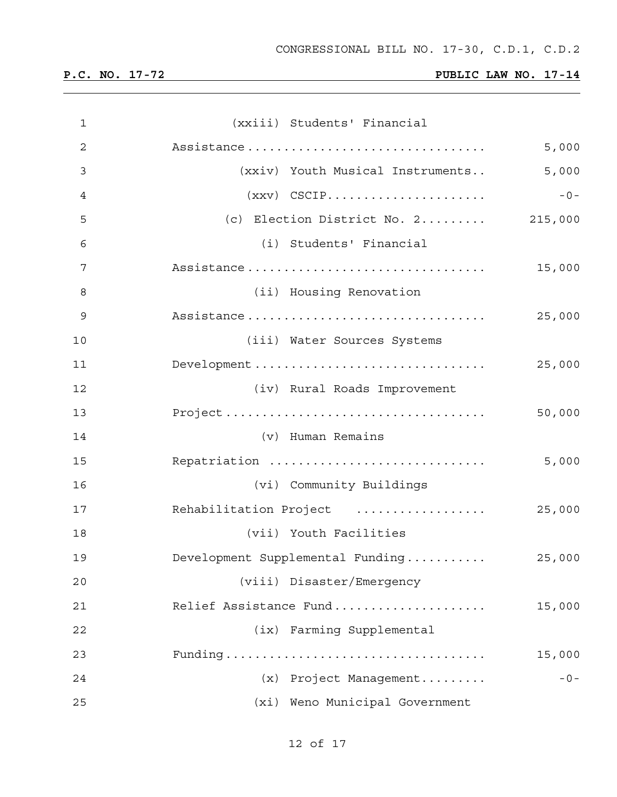| $\mathbf 1$    | (xxiii) Students' Financial                         |        |
|----------------|-----------------------------------------------------|--------|
| $\overline{2}$ | Assistance                                          | 5,000  |
| 3              | (xxiv) Youth Musical Instruments                    | 5,000  |
| 4              | $(xxy)$ CSCIP                                       | $-0-$  |
| 5              | (c) Election District No. $2 \ldots \ldots$ 215,000 |        |
| 6              | (i) Students' Financial                             |        |
| 7              | Assistance                                          | 15,000 |
| 8              | (ii) Housing Renovation                             |        |
| 9              | Assistance                                          | 25,000 |
| 10             | (iii) Water Sources Systems                         |        |
| 11             |                                                     | 25,000 |
| 12             | (iv) Rural Roads Improvement                        |        |
| 13             |                                                     | 50,000 |
| 14             | (v) Human Remains                                   |        |
| 15             | Repatriation                                        | 5,000  |
| 16             | (vi) Community Buildings                            |        |
| 17             | Rehabilitation Project                              | 25,000 |
| 18             | (vii) Youth Facilities                              |        |
| 19             | Development Supplemental Funding                    | 25,000 |
| 20             | (viii) Disaster/Emergency                           |        |
| 21             | Relief Assistance Fund                              | 15,000 |
| 22             | (ix) Farming Supplemental                           |        |
| 23             |                                                     | 15,000 |
| 24             | (x) Project Management                              | $-0-$  |
| 25             | (xi) Weno Municipal Government                      |        |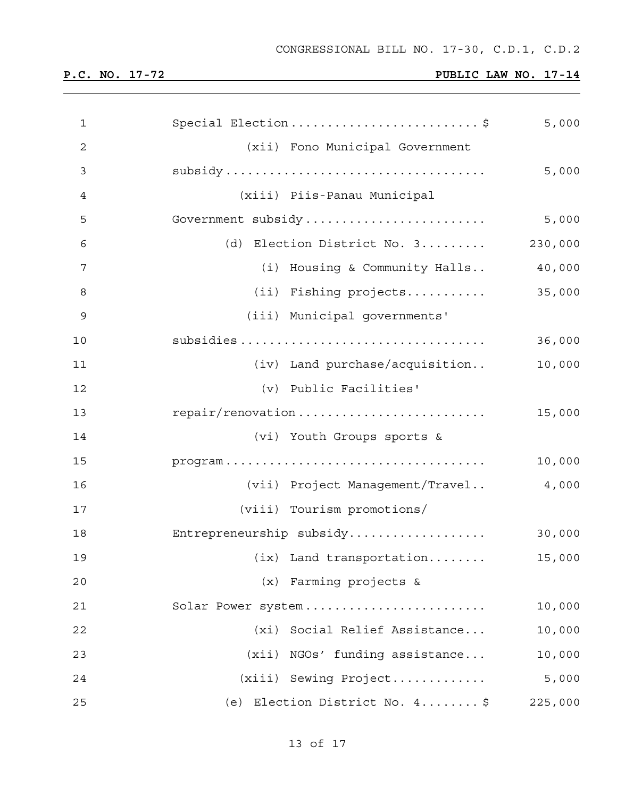| $\mathbf{1}$   | Special Election\$               | 5,000   |
|----------------|----------------------------------|---------|
| $\overline{c}$ | (xii) Fono Municipal Government  |         |
| 3              |                                  | 5,000   |
| 4              | (xiii) Piis-Panau Municipal      |         |
| 5              | Government subsidy               | 5,000   |
| 6              | (d) Election District No. 3      | 230,000 |
| 7              | (i) Housing & Community Halls    | 40,000  |
| 8              | (ii) Fishing projects            | 35,000  |
| 9              | (iii) Municipal governments'     |         |
| 10             |                                  | 36,000  |
| 11             | (iv) Land purchase/acquisition   | 10,000  |
| 12             | (v) Public Facilities'           |         |
| 13             | repair/renovation                | 15,000  |
| 14             | (vi) Youth Groups sports &       |         |
| 15             |                                  | 10,000  |
| 16             | (vii) Project Management/Travel  | 4,000   |
| 17             | (viii) Tourism promotions/       |         |
| 18             | Entrepreneurship subsidy         | 30,000  |
| 19             | $(ix)$ Land transportation       | 15,000  |
| 20             | (x) Farming projects &           |         |
| 21             | Solar Power system               | 10,000  |
| 22             | Social Relief Assistance<br>(xi) | 10,000  |
| 23             | (xii) NGOs' funding assistance   | 10,000  |
| 24             | (xiii) Sewing Project            | 5,000   |
| 25             | (e) Election District No. 4 \$   | 225,000 |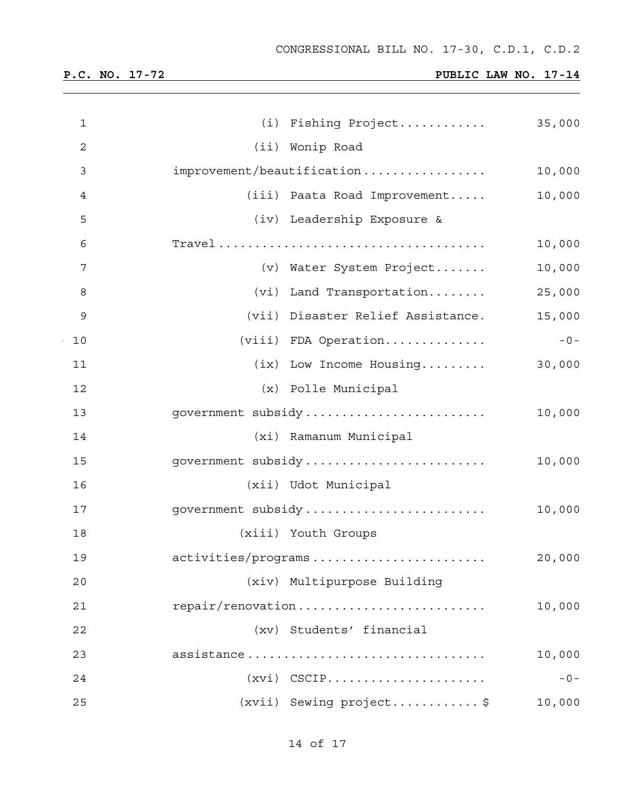| 1            | (i) Fishing Project               | 35,000 |
|--------------|-----------------------------------|--------|
| $\mathbf{2}$ | (ii) Wonip Road                   |        |
| 3            | improvement/beautification        | 10,000 |
| 4            | (iii) Paata Road Improvement      | 10,000 |
| 5            | (iv) Leadership Exposure &        |        |
| 6            |                                   | 10,000 |
| 7            | (v) Water System Project          | 10,000 |
| 8            | (vi) Land Transportation          | 25,000 |
| 9            | (vii) Disaster Relief Assistance. | 15,000 |
| 10           | (viii) FDA Operation              | $-0-$  |
| 11           | (ix) Low Income Housing           | 30,000 |
| 12           | (x) Polle Municipal               |        |
| 13           | government subsidy                | 10,000 |
| 14           | (xi) Ramanum Municipal            |        |
| 15           | government subsidy                | 10,000 |
| 16           | (xii) Udot Municipal              |        |
| 17           | government subsidy                | 10,000 |
| 18           | (xiii) Youth Groups               |        |
| 19           | activities/programs               | 20,000 |
| 20           | (xiv) Multipurpose Building       |        |
| 21           | repair/renovation                 | 10,000 |
| 22           | (xv) Students' financial          |        |
| 23           | assistance                        | 10,000 |
| 24           | $(xvi)$ CSCIP                     | $-0-$  |
| 25           | (xvii) Sewing project\$           | 10,000 |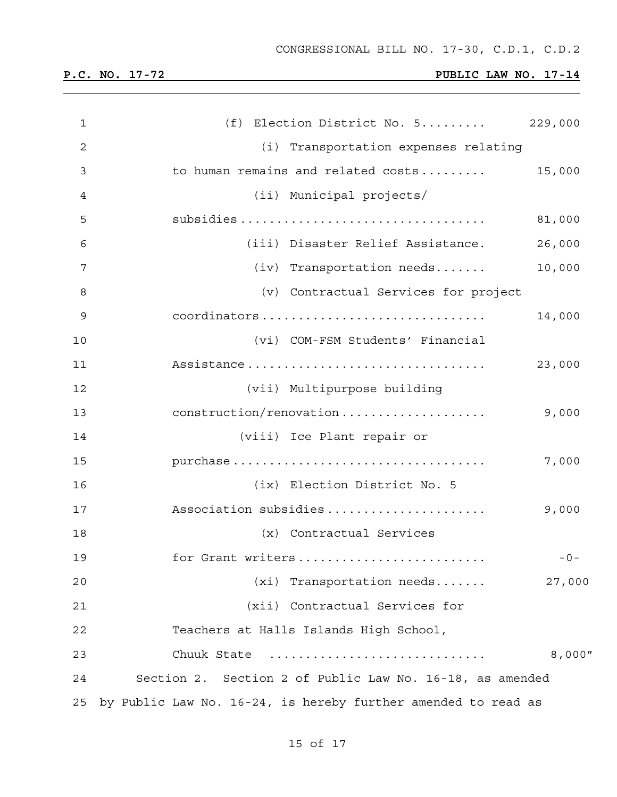| 1  | (f) Election District No. 5                                   | 229,000 |
|----|---------------------------------------------------------------|---------|
| 2  | (i) Transportation expenses relating                          |         |
| 3  | to human remains and related costs                            | 15,000  |
| 4  | (ii) Municipal projects/                                      |         |
| 5  |                                                               | 81,000  |
| 6  | (iii) Disaster Relief Assistance.                             | 26,000  |
| 7  | $(iv)$ Transportation needs                                   | 10,000  |
| 8  | (v) Contractual Services for project                          |         |
| 9  | coordinators                                                  | 14,000  |
| 10 | (vi) COM-FSM Students' Financial                              |         |
| 11 | Assistance                                                    | 23,000  |
| 12 | (vii) Multipurpose building                                   |         |
| 13 | construction/renovation                                       | 9,000   |
| 14 | (viii) Ice Plant repair or                                    |         |
| 15 | purchase                                                      | 7,000   |
| 16 | (ix) Election District No. 5                                  |         |
| 17 | Association subsidies                                         | 9,000   |
| 18 | (x) Contractual Services                                      |         |
| 19 | for Grant writers                                             | $-0-$   |
| 20 | $(xi)$ Transportation needs                                   | 27,000  |
| 21 | (xii) Contractual Services for                                |         |
| 22 | Teachers at Halls Islands High School,                        |         |
| 23 | Chuuk State                                                   | 8,000'' |
| 24 | Section 2. Section 2 of Public Law No. 16-18, as amended      |         |
| 25 | by Public Law No. 16-24, is hereby further amended to read as |         |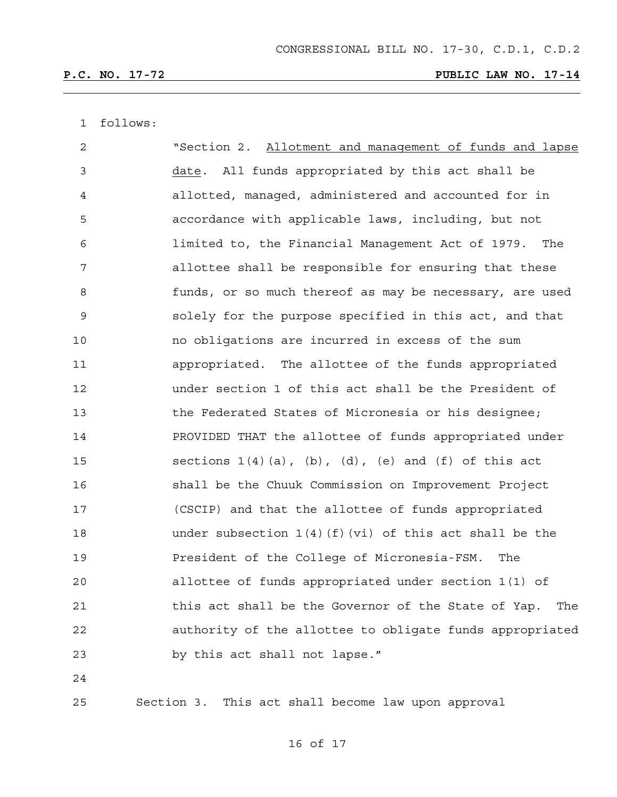1 follows:

| 2              | "Section 2. Allotment and management of funds and lapse          |
|----------------|------------------------------------------------------------------|
| 3              | All funds appropriated by this act shall be<br>date.             |
| $\overline{4}$ | allotted, managed, administered and accounted for in             |
| 5              | accordance with applicable laws, including, but not              |
| 6              | limited to, the Financial Management Act of 1979. The            |
| 7              | allottee shall be responsible for ensuring that these            |
| 8              | funds, or so much thereof as may be necessary, are used          |
| 9              | solely for the purpose specified in this act, and that           |
| 10             | no obligations are incurred in excess of the sum                 |
| 11             | appropriated. The allottee of the funds appropriated             |
| 12             | under section 1 of this act shall be the President of            |
| 13             | the Federated States of Micronesia or his designee;              |
| 14             | PROVIDED THAT the allottee of funds appropriated under           |
| 15             | sections $1(4)(a)$ , $(b)$ , $(d)$ , $(e)$ and $(f)$ of this act |
| 16             | shall be the Chuuk Commission on Improvement Project             |
| 17             | (CSCIP) and that the allottee of funds appropriated              |
| 18             | under subsection $1(4)(f)(vi)$ of this act shall be the          |
| 19             | President of the College of Micronesia-FSM.<br>The               |
| 20             | allottee of funds appropriated under section 1(1) of             |
| 21             | this act shall be the Governor of the State of Yap.<br>The       |
| 22             | authority of the allottee to obligate funds appropriated         |
| 23             | by this act shall not lapse."                                    |
|                |                                                                  |

24

25 Section 3. This act shall become law upon approval